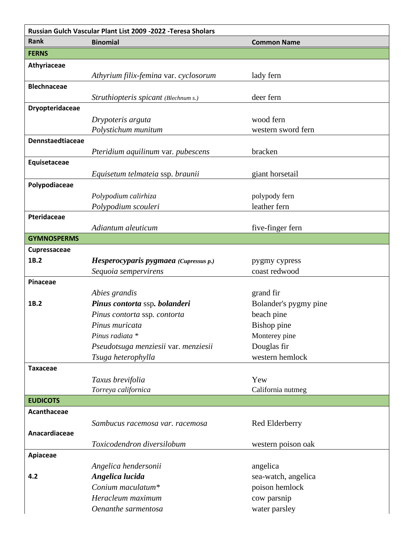| Russian Gulch Vascular Plant List 2009 -2022 - Teresa Sholars |                                       |                                |
|---------------------------------------------------------------|---------------------------------------|--------------------------------|
| <b>Rank</b>                                                   | <b>Binomial</b>                       | <b>Common Name</b>             |
| <b>FERNS</b>                                                  |                                       |                                |
| Athyriaceae                                                   |                                       |                                |
|                                                               | Athyrium filix-femina var. cyclosorum | lady fern                      |
| <b>Blechnaceae</b>                                            |                                       |                                |
|                                                               | Struthiopteris spicant (Blechnum s.)  | deer fern                      |
| Dryopteridaceae                                               |                                       |                                |
|                                                               | Drypoteris arguta                     | wood fern                      |
|                                                               | Polystichum munitum                   | western sword fern             |
| Dennstaedtiaceae                                              |                                       |                                |
|                                                               | Pteridium aquilinum var. pubescens    | bracken                        |
| Equisetaceae                                                  |                                       |                                |
|                                                               | Equisetum telmateia ssp. braunii      | giant horsetail                |
| Polypodiaceae                                                 |                                       |                                |
|                                                               | Polypodium calirhiza                  | polypody fern                  |
|                                                               | Polypodium scouleri                   | leather fern                   |
| Pteridaceae                                                   |                                       |                                |
| <b>GYMNOSPERMS</b>                                            | Adiantum aleuticum                    | five-finger fern               |
|                                                               |                                       |                                |
| Cupressaceae<br>1B.2                                          | Hesperocyparis pygmaea (Cupressus p.) |                                |
|                                                               | Sequoia sempervirens                  | pygmy cypress<br>coast redwood |
| <b>Pinaceae</b>                                               |                                       |                                |
|                                                               | Abies grandis                         | grand fir                      |
| 1B.2                                                          | Pinus contorta ssp. bolanderi         | Bolander's pygmy pine          |
|                                                               | Pinus contorta ssp. contorta          | beach pine                     |
|                                                               | Pinus muricata                        | Bishop pine                    |
|                                                               | Pinus radiata *                       | Monterey pine                  |
|                                                               | Pseudotsuga menziesii var. menziesii  | Douglas fir                    |
|                                                               | Tsuga heterophylla                    | western hemlock                |
| <b>Taxaceae</b>                                               |                                       |                                |
|                                                               | Taxus brevifolia                      | Yew                            |
|                                                               | Torreya californica                   | California nutmeg              |
| <b>EUDICOTS</b>                                               |                                       |                                |
| Acanthaceae                                                   |                                       |                                |
|                                                               | Sambucus racemosa var. racemosa       | Red Elderberry                 |
| Anacardiaceae                                                 |                                       |                                |
|                                                               | Toxicodendron diversilobum            | western poison oak             |
| Apiaceae                                                      |                                       |                                |
|                                                               | Angelica hendersonii                  | angelica                       |
| 4.2                                                           | Angelica lucida                       | sea-watch, angelica            |
|                                                               | Conium maculatum*                     | poison hemlock                 |
|                                                               | Heracleum maximum                     | cow parsnip                    |
|                                                               | Oenanthe sarmentosa                   | water parsley                  |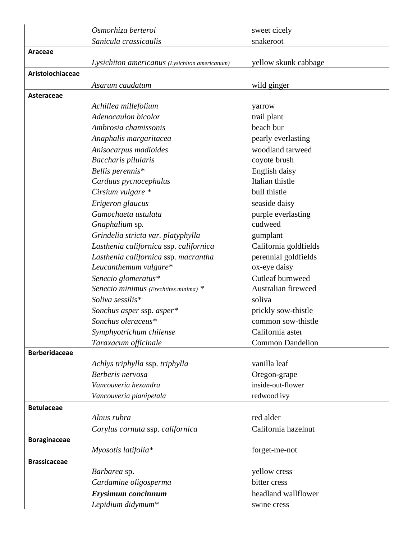|                      | Osmorhiza berteroi                            | sweet cicely            |
|----------------------|-----------------------------------------------|-------------------------|
|                      | Sanicula crassicaulis                         | snakeroot               |
| Araceae              |                                               |                         |
|                      | Lysichiton americanus (Lysichiton americanum) | yellow skunk cabbage    |
| Aristolochiaceae     |                                               |                         |
|                      | Asarum caudatum                               | wild ginger             |
| Asteraceae           |                                               |                         |
|                      | Achillea millefolium                          | yarrow                  |
|                      | Adenocaulon bicolor                           | trail plant             |
|                      | Ambrosia chamissonis                          | beach bur               |
|                      | Anaphalis margaritacea                        | pearly everlasting      |
|                      | Anisocarpus madioides                         | woodland tarweed        |
|                      | Baccharis pilularis                           | coyote brush            |
|                      | Bellis perennis*                              | English daisy           |
|                      | Carduus pycnocephalus                         | Italian thistle         |
|                      | Cirsium vulgare *                             | bull thistle            |
|                      | Erigeron glaucus                              | seaside daisy           |
|                      | Gamochaeta ustulata                           | purple everlasting      |
|                      | Gnaphalium sp.                                | cudweed                 |
|                      | Grindelia stricta var. platyphylla            | gumplant                |
|                      | Lasthenia californica ssp. californica        | California goldfields   |
|                      | Lasthenia californica ssp. macrantha          | perennial goldfields    |
|                      | Leucanthemum vulgare*                         | ox-eye daisy            |
|                      | Senecio glomeratus*                           | Cutleaf burnweed        |
|                      | Senecio minimus (Erechtites minima) *         | Australian fireweed     |
|                      | Soliva sessilis*                              | soliva                  |
|                      | Sonchus asper ssp. asper*                     | prickly sow-thistle     |
|                      | Sonchus oleraceus*                            | common sow-thistle      |
|                      | Symphyotrichum chilense                       | California aster        |
|                      | Taraxacum officinale                          | <b>Common Dandelion</b> |
| <b>Berberidaceae</b> |                                               |                         |
|                      | Achlys triphylla ssp. triphylla               | vanilla leaf            |
|                      | Berberis nervosa                              | Oregon-grape            |
|                      | Vancouveria hexandra                          | inside-out-flower       |
|                      | Vancouveria planipetala                       | redwood ivy             |
| <b>Betulaceae</b>    |                                               |                         |
|                      | Alnus rubra                                   | red alder               |
|                      | Corylus cornuta ssp. californica              | California hazelnut     |
| <b>Boraginaceae</b>  |                                               |                         |
|                      | Myosotis latifolia*                           | forget-me-not           |
| <b>Brassicaceae</b>  |                                               |                         |
|                      | Barbarea sp.                                  | yellow cress            |
|                      | Cardamine oligosperma                         | bitter cress            |
|                      | Erysimum concinnum                            | headland wallflower     |
|                      | Lepidium didymum*                             | swine cress             |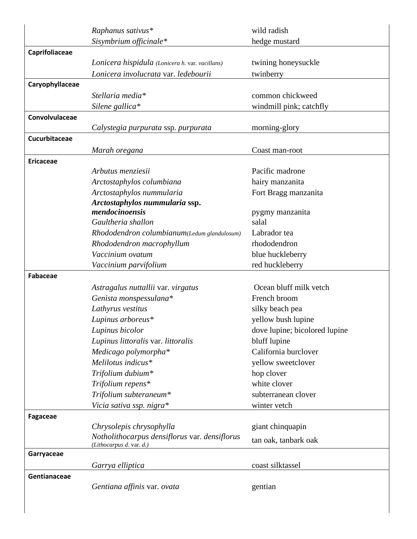|                  | Raphanus sativus*                               | wild radish                   |
|------------------|-------------------------------------------------|-------------------------------|
|                  | Sisymbrium officinale*                          | hedge mustard                 |
| Caprifoliaceae   |                                                 |                               |
|                  | Lonicera hispidula (Lonicera h. var. vacillans) | twining honeysuckle           |
|                  | Lonicera involucrata var. ledebourii            | twinberry                     |
| Caryophyllaceae  |                                                 |                               |
|                  | Stellaria media*                                | common chickweed              |
|                  | Silene gallica*                                 | windmill pink; catchfly       |
| Convolvulaceae   |                                                 |                               |
|                  | Calystegia purpurata ssp. purpurata             | morning-glory                 |
| Cucurbitaceae    |                                                 |                               |
|                  | Marah oregana                                   | Coast man-root                |
| <b>Ericaceae</b> |                                                 |                               |
|                  | Arbutus menziesii                               | Pacific madrone               |
|                  | Arctostaphylos columbiana                       | hairy manzanita               |
|                  | Arctostaphylos nummularia                       | Fort Bragg manzanita          |
|                  | Arctostaphylos nummularia ssp.                  |                               |
|                  | mendocinoensis<br>Gaultheria shallon            | pygmy manzanita<br>salal      |
|                  | Rhododendron columbianum(Ledum glandulosum)     | Labrador tea                  |
|                  | Rhododendron macrophyllum                       | rhododendron                  |
|                  | Vaccinium ovatum                                | blue huckleberry              |
|                  | Vaccinium parvifolium                           | red huckleberry               |
| <b>Fabaceae</b>  |                                                 |                               |
|                  | Astragalus nuttallii var. virgatus              | Ocean bluff milk vetch        |
|                  | Genista monspessulana*                          | French broom                  |
|                  | Lathyrus vestitus                               | silky beach pea               |
|                  | Lupinus arboreus*                               | yellow bush lupine            |
|                  | Lupinus bicolor                                 | dove lupine; bicolored lupine |
|                  | Lupinus littoralis var. littoralis              | bluff lupine                  |
|                  | Medicago polymorpha*                            | California burclover          |
|                  | Melilotus indicus*                              | yellow sweetclover            |
|                  | Trifolium dubium*                               | hop clover                    |
|                  | Trifolium repens*                               | white clover                  |
|                  | Trifolium subteraneum*                          | subterranean clover           |
|                  | Vicia sativa ssp. nigra*                        | winter vetch                  |
| Fagaceae         |                                                 |                               |
|                  | Chrysolepis chrysophylla                        | giant chinquapin              |
|                  | Notholithocarpus densiflorus var. densiflorus   | tan oak, tanbark oak          |
|                  | (Lithocarpus d. var. d.)                        |                               |
| Garryaceae       |                                                 |                               |
|                  | Garrya elliptica                                | coast silktassel              |
| Gentianaceae     |                                                 |                               |
|                  | Gentiana affinis var. ovata                     | gentian                       |
|                  |                                                 |                               |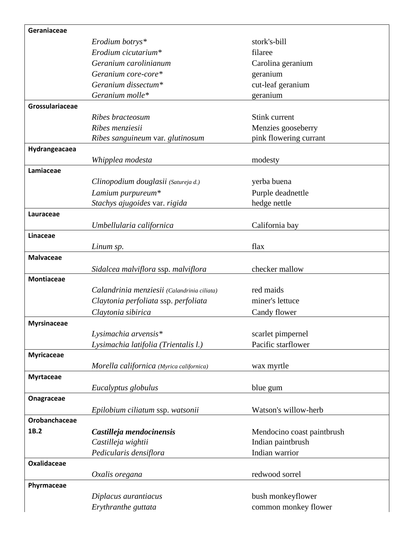| Geraniaceae        |                                             |                            |
|--------------------|---------------------------------------------|----------------------------|
|                    | Erodium botrys*                             | stork's-bill               |
|                    | Erodium cicutarium*                         | filaree                    |
|                    | Geranium carolinianum                       | Carolina geranium          |
|                    | Geranium core-core*                         | geranium                   |
|                    | Geranium dissectum*                         | cut-leaf geranium          |
|                    | Geranium molle*                             | geranium                   |
| Grossulariaceae    |                                             |                            |
|                    | Ribes bracteosum                            | Stink current              |
|                    | Ribes menziesii                             | Menzies gooseberry         |
|                    | Ribes sanguineum var. glutinosum            | pink flowering currant     |
| Hydrangeacaea      |                                             |                            |
|                    | Whipplea modesta                            | modesty                    |
| Lamiaceae          |                                             |                            |
|                    | Clinopodium douglasii (Satureja d.)         | yerba buena                |
|                    | Lamium purpureum*                           | Purple deadnettle          |
|                    | Stachys ajugoides var. rigida               | hedge nettle               |
| Lauraceae          |                                             |                            |
|                    | Umbellularia californica                    | California bay             |
| Linaceae           |                                             |                            |
|                    | Linum sp.                                   | flax                       |
| <b>Malvaceae</b>   |                                             |                            |
|                    | Sidalcea malviflora ssp. malviflora         | checker mallow             |
| <b>Montiaceae</b>  |                                             |                            |
|                    | Calandrinia menziesii (Calandrinia ciliata) | red maids                  |
|                    | Claytonia perfoliata ssp. perfoliata        | miner's lettuce            |
|                    | Claytonia sibirica                          | Candy flower               |
| <b>Myrsinaceae</b> |                                             |                            |
|                    | Lysimachia arvensis*                        | scarlet pimpernel          |
|                    | Lysimachia latifolia (Trientalis l.)        | Pacific starflower         |
| <b>Myricaceae</b>  |                                             |                            |
|                    | Morella californica (Myrica californica)    | wax myrtle                 |
| <b>Myrtaceae</b>   |                                             |                            |
|                    | Eucalyptus globulus                         | blue gum                   |
| Onagraceae         |                                             |                            |
|                    |                                             |                            |
| Orobanchaceae      | Epilobium ciliatum ssp. watsonii            | Watson's willow-herb       |
| 1B.2               |                                             |                            |
|                    | Castilleja mendocinensis                    | Mendocino coast paintbrush |
|                    | Castilleja wightii                          | Indian paintbrush          |
|                    | Pedicularis densiflora                      | Indian warrior             |
| <b>Oxalidaceae</b> |                                             |                            |
|                    | Oxalis oregana                              | redwood sorrel             |
| Phyrmaceae         |                                             |                            |
|                    | Diplacus aurantiacus                        | bush monkeyflower          |
|                    | Erythranthe guttata                         | common monkey flower       |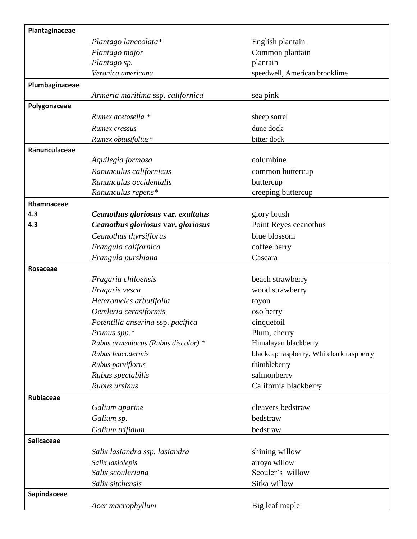| Plantaginaceae    |                                     |                                         |
|-------------------|-------------------------------------|-----------------------------------------|
|                   | Plantago lanceolata*                | English plantain                        |
|                   | Plantago major                      | Common plantain                         |
|                   | Plantago sp.                        | plantain                                |
|                   | Veronica americana                  | speedwell, American brooklime           |
| Plumbaginaceae    |                                     |                                         |
|                   | Armeria maritima ssp. californica   | sea pink                                |
| Polygonaceae      |                                     |                                         |
|                   | Rumex acetosella *                  | sheep sorrel                            |
|                   | Rumex crassus                       | dune dock                               |
|                   | Rumex obtusifolius*                 | bitter dock                             |
| Ranunculaceae     |                                     |                                         |
|                   | Aquilegia formosa                   | columbine                               |
|                   | Ranunculus californicus             | common buttercup                        |
|                   | Ranunculus occidentalis             | buttercup                               |
|                   | Ranunculus repens*                  | creeping buttercup                      |
| Rhamnaceae        |                                     |                                         |
| 4.3               | Ceanothus gloriosus var. exaltatus  | glory brush                             |
| 4.3               | Ceanothus gloriosus var. gloriosus  | Point Reyes ceanothus                   |
|                   | Ceanothus thyrsiflorus              | blue blossom                            |
|                   | Frangula californica                | coffee berry                            |
|                   | Frangula purshiana                  | Cascara                                 |
| Rosaceae          |                                     |                                         |
|                   | Fragaria chiloensis                 | beach strawberry                        |
|                   | Fragaris vesca                      | wood strawberry                         |
|                   | Heteromeles arbutifolia             | toyon                                   |
|                   | Oemleria cerasiformis               | oso berry                               |
|                   | Potentilla anserina ssp. pacifica   | cinquefoil                              |
|                   | Prunus spp.*                        | Plum, cherry                            |
|                   | Rubus armeniacus (Rubus discolor) * | Himalayan blackberry                    |
|                   | Rubus leucodermis                   | blackcap raspberry, Whitebark raspberry |
|                   | Rubus parviflorus                   | thimbleberry                            |
|                   | Rubus spectabilis                   | salmonberry                             |
|                   | Rubus ursinus                       | California blackberry                   |
| Rubiaceae         |                                     |                                         |
|                   | Galium aparine                      | cleavers bedstraw                       |
|                   | Galium sp.                          | bedstraw                                |
|                   | Galium trifidum                     | bedstraw                                |
| <b>Salicaceae</b> |                                     |                                         |
|                   | Salix lasiandra ssp. lasiandra      | shining willow                          |
|                   | Salix lasiolepis                    | arroyo willow                           |
|                   | Salix scouleriana                   | Scouler's willow                        |
|                   | Salix sitchensis                    | Sitka willow                            |
| Sapindaceae       |                                     |                                         |
|                   | Acer macrophyllum                   | Big leaf maple                          |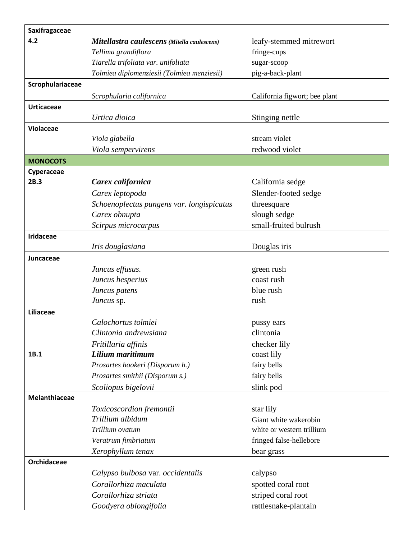| Saxifragaceae      |                                             |                               |
|--------------------|---------------------------------------------|-------------------------------|
| 4.2                | Mitellastra caulescens (Mitella caulescens) | leafy-stemmed mitrewort       |
|                    | Tellima grandiflora                         | fringe-cups                   |
|                    | Tiarella trifoliata var. unifoliata         | sugar-scoop                   |
|                    | Tolmiea diplomenziesii (Tolmiea menziesii)  | pig-a-back-plant              |
| Scrophulariaceae   |                                             |                               |
|                    | Scrophularia californica                    | California figwort; bee plant |
| <b>Urticaceae</b>  |                                             |                               |
|                    | Urtica dioica                               | Stinging nettle               |
| Violaceae          |                                             |                               |
|                    | Viola glabella                              | stream violet                 |
|                    | Viola sempervirens                          | redwood violet                |
| <b>MONOCOTS</b>    |                                             |                               |
| Cyperaceae         |                                             |                               |
| 2B.3               | Carex californica                           | California sedge              |
|                    | Carex leptopoda                             | Slender-footed sedge          |
|                    | Schoenoplectus pungens var. longispicatus   | threesquare                   |
|                    | Carex obnupta                               | slough sedge                  |
|                    | Scirpus microcarpus                         | small-fruited bulrush         |
| <b>Iridaceae</b>   |                                             |                               |
|                    | Iris douglasiana                            | Douglas iris                  |
| Juncaceae          |                                             |                               |
|                    | Juncus effusus.                             | green rush                    |
|                    | Juncus hesperius                            | coast rush                    |
|                    | Juncus patens                               | blue rush                     |
|                    | Juncus sp.                                  | rush                          |
| Liliaceae          |                                             |                               |
|                    | Calochortus tolmiei                         | pussy ears                    |
|                    | Clintonia andrewsiana                       | clintonia                     |
|                    | Fritillaria affinis                         | checker lily                  |
| 1B.1               | Lilium maritimum                            | coast lily                    |
|                    | Prosartes hookeri (Disporum h.)             | fairy bells                   |
|                    | Prosartes smithii (Disporum s.)             | fairy bells                   |
|                    | Scoliopus bigelovii                         | slink pod                     |
| Melanthiaceae      |                                             |                               |
|                    | Toxicoscordion fremontii                    | star lily                     |
|                    | Trillium albidum                            | Giant white wakerobin         |
|                    | Trillium ovatum                             | white or western trillium     |
|                    | Veratrum fimbriatum                         | fringed false-hellebore       |
|                    | Xerophyllum tenax                           | bear grass                    |
| <b>Orchidaceae</b> |                                             |                               |
|                    | Calypso bulbosa var. occidentalis           | calypso                       |
|                    | Corallorhiza maculata                       | spotted coral root            |
|                    | Corallorhiza striata                        | striped coral root            |
|                    | Goodyera oblongifolia                       | rattlesnake-plantain          |